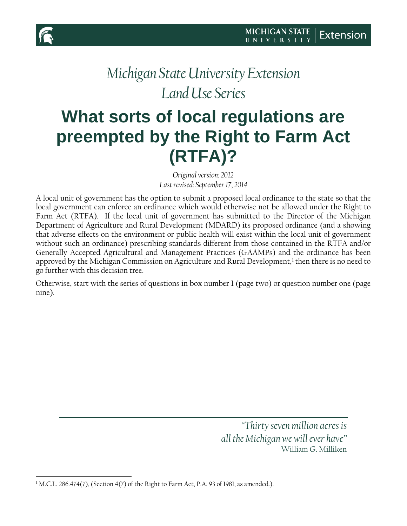

 $\overline{\phantom{a}}$ 

# *Michigan State University Extension Land Use Series*

# **What sorts of local regulations are preempted by the Right to Farm Act (RTFA)?**

*Original version: 2012 Last revised: September 17, 2014*

A local unit of government has the option to submit a proposed local ordinance to the state so that the local government can enforce an ordinance which would otherwise not be allowed under the Right to Farm Act (RTFA). If the local unit of government has submitted to the Director of the Michigan Department of Agriculture and Rural Development (MDARD) its proposed ordinance (and a showing that adverse effects on the environment or public health will exist within the local unit of government without such an ordinance) prescribing standards different from those contained in the RTFA and/or Generally Accepted Agricultural and Management Practices (GAAMPs) and the ordinance has been approved by the Michigan Commission on Agriculture and Rural Development,<sup>[1](#page-0-0)</sup> then there is no need to go further with this decision tree.

Otherwise, start with the series of questions in box number 1 (page two) or question number one (page nine).

> *"Thirty seven million acres is all the Michigan we will ever have"* William G. Milliken

<span id="page-0-0"></span><sup>&</sup>lt;sup>1</sup> M.C.L. 286.474(7), (Section 4(7) of the Right to Farm Act, P.A. 93 of 1981, as amended.).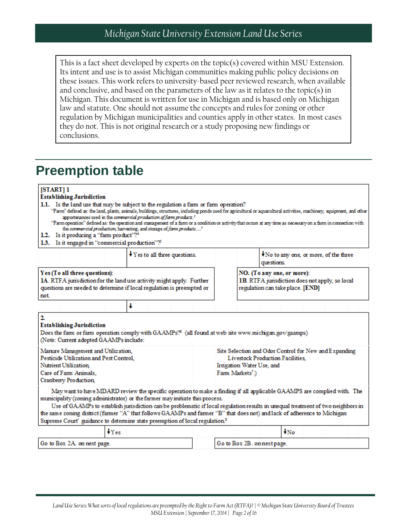This is a fact sheet developed by experts on the topic(s) covered within MSU Extension. Its intent and use is to assist Michigan communities making public policy decisions on these issues. This work refers to university-based peer reviewed research, when available and conclusive, and based on the parameters of the law as it relates to the topic(s) in Michigan. This document is written for use in Michigan and is based only on Michigan law and statute. One should not assume the concepts and rules for zoning or other regulation by Michigan municipalities and counties apply in other states. In most cases they do not. This is not original research or a study proposing new findings or conclusions.

## **Preemption table**

#### [START] 1

| <b>Establishing Jurisdiction</b>                                                                                                                                                                                                                                                                                                                                                                                                                                                                                                                                                                                                                                                                                               |   |                                        |  |                             |                                                           |                                                                                                                  |                          |  |  |  |  |
|--------------------------------------------------------------------------------------------------------------------------------------------------------------------------------------------------------------------------------------------------------------------------------------------------------------------------------------------------------------------------------------------------------------------------------------------------------------------------------------------------------------------------------------------------------------------------------------------------------------------------------------------------------------------------------------------------------------------------------|---|----------------------------------------|--|-----------------------------|-----------------------------------------------------------|------------------------------------------------------------------------------------------------------------------|--------------------------|--|--|--|--|
| 1.1. Is the land use that may be subject to the regulation a farm or farm operation?<br>"Farm" defined as: the land, plants, animals, buildings, structures, including ponds used for agricultural or aquacultural activities, machinery, equipment, and other<br>appurtenances used in the commercial production of farm products. <sup>2</sup><br>"Farm operation" defined as: the operation and management of a farm or a condition or activity that occurs at any time as necessary on a farm in connection with<br>the commercial production, harvesting, and storage of farm products <sup>3</sup><br>1.2. Is it producing a "farm product"? <sup>4</sup><br>1.3. Is it engaged in "commercial production"? <sup>5</sup> |   |                                        |  |                             |                                                           |                                                                                                                  |                          |  |  |  |  |
|                                                                                                                                                                                                                                                                                                                                                                                                                                                                                                                                                                                                                                                                                                                                |   | $\sqrt{Y}$ Yes to all three questions. |  |                             |                                                           | ◆No to any one, or more, of the three<br>questions.                                                              |                          |  |  |  |  |
| Yes (To all three questions):<br>IA. RTFA jurisdiction for the land use activity might apply. Further<br>questions are needed to determine if local regulation is preempted or<br>not                                                                                                                                                                                                                                                                                                                                                                                                                                                                                                                                          |   |                                        |  |                             |                                                           | NO. (To any one, or more):<br>1B. RTFA jurisdiction does not apply, so local<br>regulation can take place. [END] |                          |  |  |  |  |
|                                                                                                                                                                                                                                                                                                                                                                                                                                                                                                                                                                                                                                                                                                                                | ł |                                        |  |                             |                                                           |                                                                                                                  |                          |  |  |  |  |
| 2<br><b>Establishing Jurisdiction</b><br>Does the farm or farm operation comply with GAAMPs? <sup>6</sup> (all found at web site www.michigan.gov/gaamps)<br>(Note: Current adopted GAAMPs include:<br>Manure Management and Utilization,<br>Pesticide Utilization and Pest Control.<br>Nutrient Utilization.<br>Care of Farm Animals.                                                                                                                                                                                                                                                                                                                                                                                         |   |                                        |  |                             | Irrigation Water Use, and<br>Farm Markets <sup>7</sup> .) | Site Selection and Odor Control for New and Expanding<br>Livestock Production Facilities,                        |                          |  |  |  |  |
| Cranberry Production,<br>May want to have MDARD review the specific operation to make a finding if all applicable GAAMPS are complied with The<br>municipality (zoning administrator) or the farmer may initiate this process.<br>Use of GAAMPs to establish jurisdiction can be problematic if local regulation results in unequal treatment of two neighbors in<br>the same zoning district (farmer "A" that follows GAAMPs and farmer "B" that does not) and lack of adherence to Michigan<br>Supreme Court' guidance to determine state preemption of local regulation <sup>8</sup>                                                                                                                                        |   |                                        |  |                             |                                                           |                                                                                                                  |                          |  |  |  |  |
| $\ddagger$ Yes                                                                                                                                                                                                                                                                                                                                                                                                                                                                                                                                                                                                                                                                                                                 |   |                                        |  |                             |                                                           |                                                                                                                  | $\downarrow_{\text{No}}$ |  |  |  |  |
| Go to Box 2A on next page.                                                                                                                                                                                                                                                                                                                                                                                                                                                                                                                                                                                                                                                                                                     |   |                                        |  | Go to Box 2B. on next page. |                                                           |                                                                                                                  |                          |  |  |  |  |
|                                                                                                                                                                                                                                                                                                                                                                                                                                                                                                                                                                                                                                                                                                                                |   |                                        |  |                             |                                                           |                                                                                                                  |                          |  |  |  |  |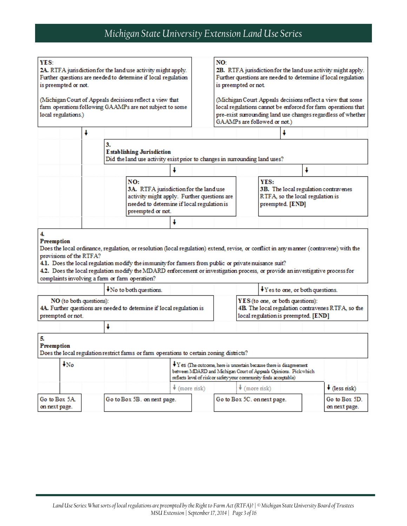| YES:<br>2A. RTFA jurisdiction for the land use activity might apply.<br>Further questions are needed to determine if local regulation<br>is preempted or not.<br>(Michigan Court of Appeals decisions reflect a view that<br>farm operations following GAAMPs are not subject to some<br>local regulations.) |                                              |    |                                                                                                                                                                                                                                                                                                                                                                                                                                   |                     |  | NO:<br>2B. RTFA jurisdiction for the land use activity might apply.<br>Further questions are needed to determine if local regulation<br>is preempted or not.<br>(Michigan Court Appeals decisions reflect a view that some<br>local regulations cannot be enforced for farm operations that<br>pre-exist surrounding land use changes regardless of whether |                              |                                                                          |                                                      |   |                                                   |  |  |
|--------------------------------------------------------------------------------------------------------------------------------------------------------------------------------------------------------------------------------------------------------------------------------------------------------------|----------------------------------------------|----|-----------------------------------------------------------------------------------------------------------------------------------------------------------------------------------------------------------------------------------------------------------------------------------------------------------------------------------------------------------------------------------------------------------------------------------|---------------------|--|-------------------------------------------------------------------------------------------------------------------------------------------------------------------------------------------------------------------------------------------------------------------------------------------------------------------------------------------------------------|------------------------------|--------------------------------------------------------------------------|------------------------------------------------------|---|---------------------------------------------------|--|--|
|                                                                                                                                                                                                                                                                                                              |                                              |    |                                                                                                                                                                                                                                                                                                                                                                                                                                   |                     |  |                                                                                                                                                                                                                                                                                                                                                             | GAAMPs are followed or not.) |                                                                          |                                                      |   |                                                   |  |  |
|                                                                                                                                                                                                                                                                                                              | ł                                            |    |                                                                                                                                                                                                                                                                                                                                                                                                                                   |                     |  |                                                                                                                                                                                                                                                                                                                                                             |                              |                                                                          | t                                                    |   |                                                   |  |  |
|                                                                                                                                                                                                                                                                                                              |                                              | 3. | <b>Establishing Jurisdiction</b><br>Did the land use activity exist prior to changes in surrounding land uses?                                                                                                                                                                                                                                                                                                                    |                     |  |                                                                                                                                                                                                                                                                                                                                                             |                              |                                                                          |                                                      |   |                                                   |  |  |
|                                                                                                                                                                                                                                                                                                              |                                              |    |                                                                                                                                                                                                                                                                                                                                                                                                                                   |                     |  |                                                                                                                                                                                                                                                                                                                                                             |                              |                                                                          |                                                      | ¥ |                                                   |  |  |
|                                                                                                                                                                                                                                                                                                              |                                              |    | NO:<br>3A. RTFA jurisdiction for the land use<br>activity might apply. Further questions are<br>needed to determine if local regulation is<br>preempted or not.                                                                                                                                                                                                                                                                   |                     |  |                                                                                                                                                                                                                                                                                                                                                             |                              | YES:                                                                     | RTFA, so the local regulation is<br>preempted. [END] |   | 3B. The local regulation contravenes              |  |  |
|                                                                                                                                                                                                                                                                                                              |                                              |    |                                                                                                                                                                                                                                                                                                                                                                                                                                   | J                   |  |                                                                                                                                                                                                                                                                                                                                                             |                              |                                                                          |                                                      |   |                                                   |  |  |
| Preemption                                                                                                                                                                                                                                                                                                   | provisions of the RTFA?                      |    | Does the local ordinance, regulation, or resolution (local regulation) extend, revise, or conflict in any manner (contravene) with the<br>4.1. Does the local regulation modify the immunity for farmers from public or private nuisance suit?<br>4.2. Does the local regulation modify the MDARD enforcement or investigation process, or provide an investigative process for<br>complaints involving a farm or farm operation? |                     |  |                                                                                                                                                                                                                                                                                                                                                             |                              |                                                                          |                                                      |   |                                                   |  |  |
|                                                                                                                                                                                                                                                                                                              |                                              |    | No to both questions.                                                                                                                                                                                                                                                                                                                                                                                                             |                     |  |                                                                                                                                                                                                                                                                                                                                                             |                              |                                                                          | ↓ Yes to one, or both questions.                     |   |                                                   |  |  |
|                                                                                                                                                                                                                                                                                                              | NO (to both questions):<br>preempted or not. |    | 4A. Further questions are needed to determine if local regulation is                                                                                                                                                                                                                                                                                                                                                              |                     |  |                                                                                                                                                                                                                                                                                                                                                             |                              | YES (to one, or both questions):<br>local regulation is preempted. [END] |                                                      |   | 4B. The local regulation contravenes RTFA, so the |  |  |
|                                                                                                                                                                                                                                                                                                              |                                              | ¥  |                                                                                                                                                                                                                                                                                                                                                                                                                                   |                     |  |                                                                                                                                                                                                                                                                                                                                                             |                              |                                                                          |                                                      |   |                                                   |  |  |
| 5.<br>Preemption                                                                                                                                                                                                                                                                                             |                                              |    | Does the local regulation restrict farms or farm operations to certain zoning districts?                                                                                                                                                                                                                                                                                                                                          |                     |  |                                                                                                                                                                                                                                                                                                                                                             |                              |                                                                          |                                                      |   |                                                   |  |  |
|                                                                                                                                                                                                                                                                                                              | $\downarrow_{\text{No}}$                     |    |                                                                                                                                                                                                                                                                                                                                                                                                                                   |                     |  | $\mathbf{\blacktriangleright}$ Y es (The outcome, here is uncertain because there is disagreement<br>between MDARD and Michigan Court of Appeals Opinions. Pickwhich<br>reflects level of risk or safety your community finds acceptable)                                                                                                                   |                              |                                                                          |                                                      |   |                                                   |  |  |
|                                                                                                                                                                                                                                                                                                              |                                              |    |                                                                                                                                                                                                                                                                                                                                                                                                                                   | $\star$ (more risk) |  |                                                                                                                                                                                                                                                                                                                                                             | $\star$ (more risk)          |                                                                          |                                                      |   | $\bigstar$ (less risk)                            |  |  |
| Go to Box 5A<br>on next page.                                                                                                                                                                                                                                                                                |                                              |    | Go to Box 5B. on next page.                                                                                                                                                                                                                                                                                                                                                                                                       |                     |  |                                                                                                                                                                                                                                                                                                                                                             | Go to Box 5C. on next page.  |                                                                          |                                                      |   | Go to Box 5D.<br>on next page.                    |  |  |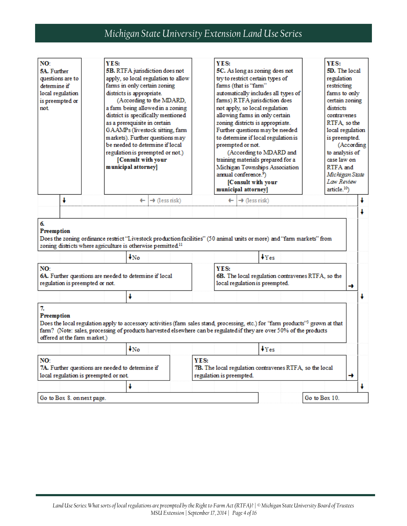| NO:<br>5A. Further<br>questions are to<br>determine if<br>local regulation<br>is preempted or<br>not |   | YES:                                                                                      | 5B. RTFA jurisdiction does not<br>apply, so local regulation to allow<br>farms in only certain zoning<br>districts is appropriate.<br>(According to the MDARD,<br>a farm being allowed in a zoning<br>district is specifically mentioned<br>as a prerequisite in certain<br>GAAMPs (livestock sitting, farm<br>markets). Further questions may<br>be needed to determine if local<br>regulation is preempted or not.)<br>[Consult with your<br>municipal attorney] |                                                                                                                                                                                                                                                                     |      | YES:                                                                                       | 5C. As long as zoning does not<br>try to restrict certain types of<br>farms (that is "farm"<br>automatically includes all types of<br>farms) RTFA jurisdiction does<br>not apply, so local regulation<br>allowing farms in only certain<br>zoning districts is appropriate.<br>Further questions may be needed<br>to determine if local regulation is<br>preempted or not.<br>(According to MDARD and<br>training materials prepared for a<br>Michigan Townships Association<br>annual conference. <sup>9</sup> )<br>[Consult with your<br>municipal attorney] | YES:<br>5D. The local<br>regulation<br>restricting<br>farms to only<br>certain zoning<br>districts<br>contravenes<br>RTFA so the<br>local regulation<br>is preempted.<br>to analysis of<br>case law on<br>RTFA and<br>Michigan State<br>Law Review<br>article. <sup>10</sup> |                                                   |               | (According |   |   |
|------------------------------------------------------------------------------------------------------|---|-------------------------------------------------------------------------------------------|--------------------------------------------------------------------------------------------------------------------------------------------------------------------------------------------------------------------------------------------------------------------------------------------------------------------------------------------------------------------------------------------------------------------------------------------------------------------|---------------------------------------------------------------------------------------------------------------------------------------------------------------------------------------------------------------------------------------------------------------------|------|--------------------------------------------------------------------------------------------|----------------------------------------------------------------------------------------------------------------------------------------------------------------------------------------------------------------------------------------------------------------------------------------------------------------------------------------------------------------------------------------------------------------------------------------------------------------------------------------------------------------------------------------------------------------|------------------------------------------------------------------------------------------------------------------------------------------------------------------------------------------------------------------------------------------------------------------------------|---------------------------------------------------|---------------|------------|---|---|
|                                                                                                      | ¥ |                                                                                           |                                                                                                                                                                                                                                                                                                                                                                                                                                                                    | $\leftarrow$ $\rightarrow$ (less risk)                                                                                                                                                                                                                              |      |                                                                                            | $\leftarrow$ $\rightarrow$ (less risk)                                                                                                                                                                                                                                                                                                                                                                                                                                                                                                                         |                                                                                                                                                                                                                                                                              |                                                   |               |            |   |   |
| 6.<br>Preemption<br>NO:<br>regulation is preempted or not.                                           |   |                                                                                           | $\downarrow_{\mathrm{No}}$                                                                                                                                                                                                                                                                                                                                                                                                                                         | Does the zoning ordinance restrict "Livestock production facilities" (50 animal units or more) and "farm markets" from<br>zoning districts where agriculture is otherwise permitted. <sup>11</sup><br>6A. Further questions are needed to determine if local        |      | YES:                                                                                       | local regulation is preempted.                                                                                                                                                                                                                                                                                                                                                                                                                                                                                                                                 | Ves                                                                                                                                                                                                                                                                          | 6B. The local regulation contravenes RTFA, so the |               |            | → |   |
|                                                                                                      |   |                                                                                           | ł                                                                                                                                                                                                                                                                                                                                                                                                                                                                  |                                                                                                                                                                                                                                                                     |      |                                                                                            |                                                                                                                                                                                                                                                                                                                                                                                                                                                                                                                                                                |                                                                                                                                                                                                                                                                              |                                                   |               |            |   | ł |
| 7.<br>Preemption<br>offered at the farm market.)<br>NO:                                              |   | 7A. Further questions are needed to determine if<br>local regulation is preempted or not. | $\downarrow_{\text{No}}$                                                                                                                                                                                                                                                                                                                                                                                                                                           | Does the local regulation apply to accessory activities (farm sales stand, processing, etc.) for "farm products" <sup>3</sup> grown at that<br>farm? (Note: sales, processing of products harvested elsewhere can be regulated if they are over 50% of the products | YES: | <b>7B.</b> The local regulation contravenes RTFA, so the local<br>regulation is preempted. |                                                                                                                                                                                                                                                                                                                                                                                                                                                                                                                                                                | Ves                                                                                                                                                                                                                                                                          |                                                   |               |            | → |   |
|                                                                                                      |   |                                                                                           | ŧ                                                                                                                                                                                                                                                                                                                                                                                                                                                                  |                                                                                                                                                                                                                                                                     |      |                                                                                            |                                                                                                                                                                                                                                                                                                                                                                                                                                                                                                                                                                |                                                                                                                                                                                                                                                                              |                                                   |               |            |   | J |
| Go to Box 8. on next page.                                                                           |   |                                                                                           |                                                                                                                                                                                                                                                                                                                                                                                                                                                                    |                                                                                                                                                                                                                                                                     |      |                                                                                            |                                                                                                                                                                                                                                                                                                                                                                                                                                                                                                                                                                |                                                                                                                                                                                                                                                                              |                                                   | Go to Box 10. |            |   |   |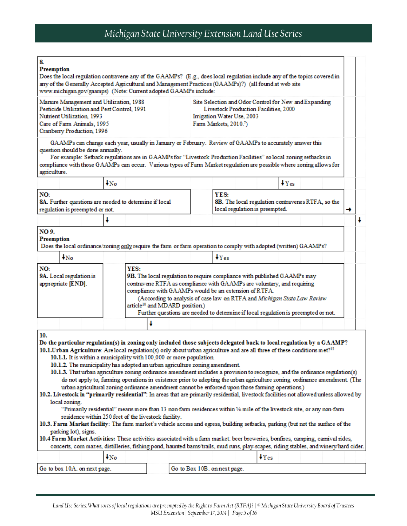| 8.<br>Preemption    | Does the local regulation contravene any of the GAAMPs? (E.g., does local regulation include any of the topics covered in<br>any of the Generally Accepted Agricultural and Management Practices (GAAMPs)?) (all found at web site<br>www.michigan.gov/gaamps) (Note: Current adopted GAAMPs include:                                                                                                                                                                                                                                                                                                                                                                                                                                                                                                                                                                                                                                                    |                          |      |   |                                           |                                    |                                                       |                                                                                                                                                                                                                                                                                                                      |        |  |   |   |
|---------------------|----------------------------------------------------------------------------------------------------------------------------------------------------------------------------------------------------------------------------------------------------------------------------------------------------------------------------------------------------------------------------------------------------------------------------------------------------------------------------------------------------------------------------------------------------------------------------------------------------------------------------------------------------------------------------------------------------------------------------------------------------------------------------------------------------------------------------------------------------------------------------------------------------------------------------------------------------------|--------------------------|------|---|-------------------------------------------|------------------------------------|-------------------------------------------------------|----------------------------------------------------------------------------------------------------------------------------------------------------------------------------------------------------------------------------------------------------------------------------------------------------------------------|--------|--|---|---|
|                     | Manure Management and Utilization, 1988<br>Pesticide Utilization and Pest Control, 1991<br>Nutrient Utilization, 1993<br>Care of Farm Animals, 1995<br>Cranberry Production, 1996                                                                                                                                                                                                                                                                                                                                                                                                                                                                                                                                                                                                                                                                                                                                                                        |                          |      |   |                                           | Farm Markets, 2010. <sup>7</sup> ) | Irrigation Water Use, 2003                            | Site Selection and Odor Control for New and Expanding<br>Livestock Production Facilities, 2000                                                                                                                                                                                                                       |        |  |   |   |
| agriculture.        | GAAMPs can change each year, usually in January or February. Review of GAAMPs to accurately answer this<br>question should be done annually.<br>For example: Setback regulations are in GAAMPs for "Livestock Production Facilities" so local zoning setbacks in<br>compliance with those GAAMPs can occur. Various types of Farm Market regulation are possible where zoning allows for                                                                                                                                                                                                                                                                                                                                                                                                                                                                                                                                                                 |                          |      |   |                                           |                                    |                                                       |                                                                                                                                                                                                                                                                                                                      |        |  |   |   |
|                     |                                                                                                                                                                                                                                                                                                                                                                                                                                                                                                                                                                                                                                                                                                                                                                                                                                                                                                                                                          | $\downarrow_{\text{No}}$ |      |   |                                           |                                    |                                                       |                                                                                                                                                                                                                                                                                                                      | $V$ es |  |   |   |
| NO:                 | 8A. Further questions are needed to determine if local<br>regulation is preempted or not.                                                                                                                                                                                                                                                                                                                                                                                                                                                                                                                                                                                                                                                                                                                                                                                                                                                                |                          |      |   |                                           | YES:                               |                                                       | 8B. The local regulation contravenes RTFA, so the<br>local regulation is preempted.                                                                                                                                                                                                                                  |        |  | → |   |
|                     |                                                                                                                                                                                                                                                                                                                                                                                                                                                                                                                                                                                                                                                                                                                                                                                                                                                                                                                                                          |                          |      |   |                                           |                                    |                                                       |                                                                                                                                                                                                                                                                                                                      |        |  |   | ÷ |
| NO 9.<br>Preemption | Does the local ordinance/zoning only require the farm or farm operation to comply with adopted (written) GAAMPs?                                                                                                                                                                                                                                                                                                                                                                                                                                                                                                                                                                                                                                                                                                                                                                                                                                         |                          |      |   |                                           |                                    |                                                       |                                                                                                                                                                                                                                                                                                                      |        |  |   |   |
|                     | $\downarrow_{\text{No}}$                                                                                                                                                                                                                                                                                                                                                                                                                                                                                                                                                                                                                                                                                                                                                                                                                                                                                                                                 |                          |      |   |                                           | Ves                                |                                                       |                                                                                                                                                                                                                                                                                                                      |        |  |   |   |
| NO:                 | 9A. Local regulation is<br>appropriate [END].                                                                                                                                                                                                                                                                                                                                                                                                                                                                                                                                                                                                                                                                                                                                                                                                                                                                                                            |                          | YES: |   | article <sup>10</sup> and MDARD position) |                                    | compliance with GAAMPs would be an extension of RTFA. | 9B. The local regulation to require compliance with published GAAMPs may<br>contravene RTFA as compliance with GAAMPs are voluntary, and requiring<br>(According to analysis of case law on RTFA and Michigan State Law Review<br>Further questions are needed to determine if local regulation is preempted or not. |        |  |   |   |
|                     |                                                                                                                                                                                                                                                                                                                                                                                                                                                                                                                                                                                                                                                                                                                                                                                                                                                                                                                                                          |                          |      | J |                                           |                                    |                                                       |                                                                                                                                                                                                                                                                                                                      |        |  |   |   |
| 10.                 | Do the particular regulation(s) in zoning only included those subjects delegated back to local regulation by a GAAMP?<br>10.1. Urban Agriculture: Are local regulation(s) only about urban agriculture and are all three of these conditions $m e t$ ? <sup>12</sup><br>10.1.1. It is within a municipality with 100,000 or more population.<br>10.1.2. The municipality has adopted an urban agriculture zoning amendment.<br>10.1.3. That urban agriculture zoning ordinance amendment includes a provision to recognize, and the ordinance regulation(s)<br>do not apply to, farming operations in existence prior to adopting the urban agriculture zoning ordinance amendment. (The<br>urban agricultural zoning ordinance amendment cannot be enforced upon those farming operations.)<br>10.2. Livestock in "primarily residential": In areas that are primarily residential, livestock facilities not allowed unless allowed by<br>local zoning. |                          |      |   |                                           |                                    |                                                       |                                                                                                                                                                                                                                                                                                                      |        |  |   |   |
|                     | "Primarily residential" means more than 13 non-farm residences within 1/6 mile of the livestock site, or any non-farm                                                                                                                                                                                                                                                                                                                                                                                                                                                                                                                                                                                                                                                                                                                                                                                                                                    |                          |      |   |                                           |                                    |                                                       |                                                                                                                                                                                                                                                                                                                      |        |  |   |   |
|                     | residence within 250 feet of the livestock facility.                                                                                                                                                                                                                                                                                                                                                                                                                                                                                                                                                                                                                                                                                                                                                                                                                                                                                                     |                          |      |   |                                           |                                    |                                                       |                                                                                                                                                                                                                                                                                                                      |        |  |   |   |
|                     | 10.3. Farm Market facility: The farm market's vehicle access and egress, building setbacks, parking (but not the surface of the                                                                                                                                                                                                                                                                                                                                                                                                                                                                                                                                                                                                                                                                                                                                                                                                                          |                          |      |   |                                           |                                    |                                                       |                                                                                                                                                                                                                                                                                                                      |        |  |   |   |
|                     | parking lot), signs.<br>10.4 Farm Market Activities: These activities associated with a farm market: beer breweries, bonfires, camping, carnival rides,                                                                                                                                                                                                                                                                                                                                                                                                                                                                                                                                                                                                                                                                                                                                                                                                  |                          |      |   |                                           |                                    |                                                       |                                                                                                                                                                                                                                                                                                                      |        |  |   |   |
|                     | concerts, corn mazes, distilleries, fishing pond, haunted barns/trails, mud runs, play-scapes, riding stables, and winery/hard cider.                                                                                                                                                                                                                                                                                                                                                                                                                                                                                                                                                                                                                                                                                                                                                                                                                    |                          |      |   |                                           |                                    |                                                       |                                                                                                                                                                                                                                                                                                                      |        |  |   |   |
|                     |                                                                                                                                                                                                                                                                                                                                                                                                                                                                                                                                                                                                                                                                                                                                                                                                                                                                                                                                                          | $\downarrow_{\text{No}}$ |      |   |                                           |                                    |                                                       | Ves                                                                                                                                                                                                                                                                                                                  |        |  |   |   |
|                     |                                                                                                                                                                                                                                                                                                                                                                                                                                                                                                                                                                                                                                                                                                                                                                                                                                                                                                                                                          |                          |      |   |                                           |                                    |                                                       |                                                                                                                                                                                                                                                                                                                      |        |  |   |   |
|                     | Go to box 10A. on next page.                                                                                                                                                                                                                                                                                                                                                                                                                                                                                                                                                                                                                                                                                                                                                                                                                                                                                                                             |                          |      |   |                                           | Go to Box 10B. on next page.       |                                                       |                                                                                                                                                                                                                                                                                                                      |        |  |   |   |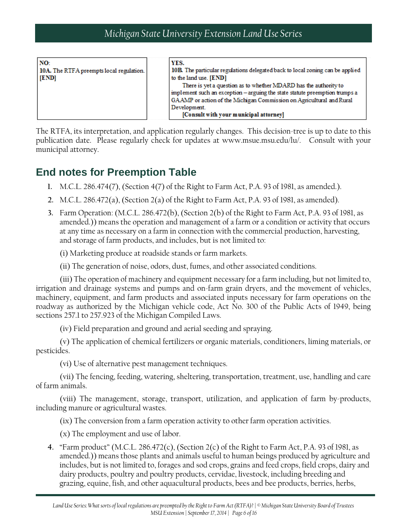| NO:<br>10A. The RTFA preempts local regulation.  <br>[END] | YES.<br>10B. The particular regulations delegated back to local zoning can be applied<br>to the land use. [END]<br>There is yet a question as to whether MDARD has the authority to<br>implement such an exception - arguing the state statute preemption trumps a<br>GAAMP or action of the Michigan Commission on Agricultural and Rural<br>Development. |
|------------------------------------------------------------|------------------------------------------------------------------------------------------------------------------------------------------------------------------------------------------------------------------------------------------------------------------------------------------------------------------------------------------------------------|
|                                                            | [Consult with your municipal attorney]                                                                                                                                                                                                                                                                                                                     |

The RTFA, its interpretation, and application regularly changes. This decision-tree is up to date to this publication date. Please regularly check for updates at www.msue.msu.edu/lu/. Consult with your municipal attorney.

### **End notes for Preemption Table**

- **1.** M.C.L. 286.474(7), (Section 4(7) of the Right to Farm Act, P.A. 93 of 1981, as amended.).
- **2.** M.C.L. 286.472(a), (Section 2(a) of the Right to Farm Act, P.A. 93 of 1981, as amended).
- **3.** Farm Operation: (M.C.L. 286.472(b), (Section 2(b) of the Right to Farm Act, P.A. 93 of 1981, as amended.)) means the operation and management of a farm or a condition or activity that occurs at any time as necessary on a farm in connection with the commercial production, harvesting, and storage of farm products, and includes, but is not limited to:

(i) Marketing produce at roadside stands or farm markets.

(ii) The generation of noise, odors, dust, fumes, and other associated conditions.

(iii) The operation of machinery and equipment necessary for a farm including, but not limited to, irrigation and drainage systems and pumps and on-farm grain dryers, and the movement of vehicles, machinery, equipment, and farm products and associated inputs necessary for farm operations on the roadway as authorized by the Michigan vehicle code, Act No. 300 of the Public Acts of 1949, being sections 257.1 to 257.923 of the Michigan Compiled Laws.

(iv) Field preparation and ground and aerial seeding and spraying.

(v) The application of chemical fertilizers or organic materials, conditioners, liming materials, or pesticides.

(vi) Use of alternative pest management techniques.

(vii) The fencing, feeding, watering, sheltering, transportation, treatment, use, handling and care of farm animals.

(viii) The management, storage, transport, utilization, and application of farm by-products, including manure or agricultural wastes.

(ix) The conversion from a farm operation activity to other farm operation activities.

(x) The employment and use of labor.

**4.** "Farm product" (M.C.L. 286.472(c), (Section 2(c) of the Right to Farm Act, P.A. 93 of 1981, as amended.)) means those plants and animals useful to human beings produced by agriculture and includes, but is not limited to, forages and sod crops, grains and feed crops, field crops, dairy and dairy products, poultry and poultry products, cervidae, livestock, including breeding and grazing, equine, fish, and other aquacultural products, bees and bee products, berries, herbs,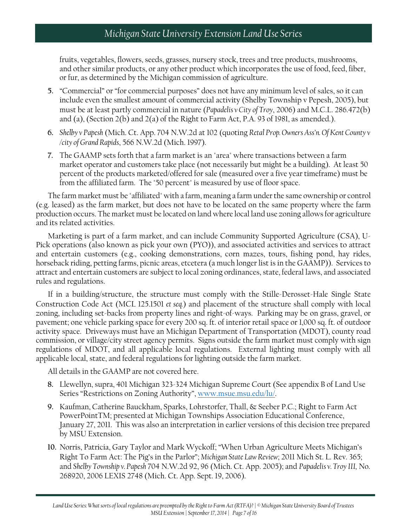fruits, vegetables, flowers, seeds, grasses, nursery stock, trees and tree products, mushrooms, and other similar products, or any other product which incorporates the use of food, feed, fiber, or fur, as determined by the Michigan commission of agriculture.

- **5.** "Commercial" or "for commercial purposes" does not have any minimum level of sales, so it can include even the smallest amount of commercial activity (Shelby Township v Pepesh, 2005), but must be at least partly commercial in nature (*Papadelis v City of Troy*, 2006) and M.C.L. 286.472(b) and (a), (Section 2(b) and 2(a) of the Right to Farm Act, P.A. 93 of 1981, as amended.).
- **6.** *Shelby v Papesh* (Mich. Ct. App. 704 N.W.2d at 102 (quoting *Retal Prop. Owners Ass'n. Of Kent County v /city of Grand Rapids*, 566 N.W.2d (Mich. 1997).
- **7.** The GAAMP sets forth that a farm market is an "area" where transactions between a farm market operator and customers take place (not necessarily but might be a building). At least 50 percent of the products marketed/offered for sale (measured over a five year timeframe) must be from the affiliated farm. The "50 percent" is measured by use of floor space.

The farm market must be "affiliated" with a farm, meaning a farm under the same ownership or control (e.g. leased) as the farm market, but does not have to be located on the same property where the farm production occurs. The market must be located on land where local land use zoning allows for agriculture and its related activities.

Marketing is part of a farm market, and can include Community Supported Agriculture (CSA), U-Pick operations (also known as pick your own (PYO)), and associated activities and services to attract and entertain customers (e.g., cooking demonstrations, corn mazes, tours, fishing pond, hay rides, horseback riding, petting farms, picnic areas, etcetera (a much longer list is in the GAAMP)). Services to attract and entertain customers are subject to local zoning ordinances, state, federal laws, and associated rules and regulations.

If in a building/structure, the structure must comply with the Stille-Derosset-Hale Single State Construction Code Act (MCL 125.1501 *et seq.*) and placement of the structure shall comply with local zoning, including set-backs from property lines and right-of-ways. Parking may be on grass, gravel, or pavement; one vehicle parking space for every 200 sq. ft. of interior retail space or 1,000 sq. ft. of outdoor activity space. Driveways must have an Michigan Department of Transportation (MDOT), county road commission, or village/city street agency permits. Signs outside the farm market must comply with sign regulations of MDOT, and all applicable local regulations. External lighting must comply with all applicable local, state, and federal regulations for lighting outside the farm market.

All details in the GAAMP are not covered here.

- **8.** Llewellyn, supra, 401 Michigan 323-324 Michigan Supreme Court (See appendix B of Land Use Series "Restrictions on Zoning Authority", [www.msue.msu.edu/lu/.](http://www.msue.msu.edu/lu/)
- **9.** Kaufman, Catherine Bauckham, Sparks, Lohrstorfer, Thall, & Seeber P.C.; Right to Farm Act PowerPointTM; presented at Michigan Townships Association Educational Conference, January 27, 2011. This was also an interpretation in earlier versions of this decision tree prepared by MSU Extension.
- **10.** Norris, Patricia, Gary Taylor and Mark Wyckoff; "When Urban Agriculture Meets Michigan's Right To Farm Act: The Pig's in the Parlor"; *Michigan State Law Review*; 2011 Mich St. L. Rev. 365; and *Shelby Township v. Papesh* 704 N.W.2d 92, 96 (Mich. Ct. App. 2005); and *Papadelis v. Troy III,* No. 268920, 2006 LEXIS 2748 (Mich. Ct. App. Sept. 19, 2006).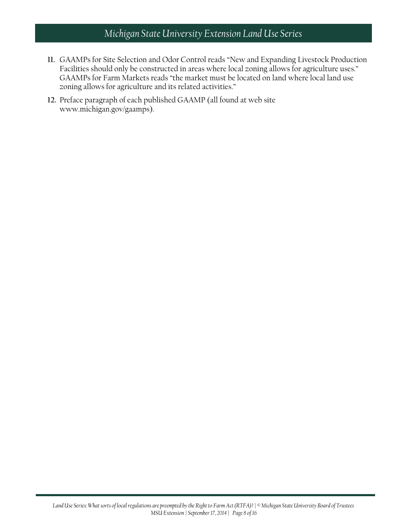- **11.** GAAMPs for Site Selection and Odor Control reads "New and Expanding Livestock Production Facilities should only be constructed in areas where local zoning allows for agriculture uses." GAAMPs for Farm Markets reads "the market must be located on land where local land use zoning allows for agriculture and its related activities."
- **12.** Preface paragraph of each published GAAMP (all found at web site www.michigan.gov/gaamps).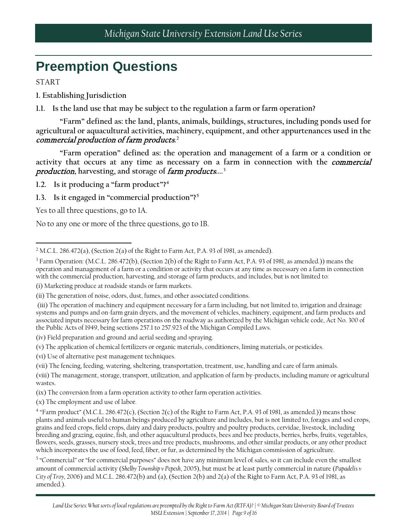# **Preemption Questions**

START

- **1. Establishing Jurisdiction**
- **1.1. Is the land use that may be subject to the regulation a farm or farm operation?**

**"Farm" defined as: the land, plants, animals, buildings, structures, including ponds used for agricultural or aquacultural activities, machinery, equipment, and other appurtenances used in the**  commercial production of farm products**. [2](#page-8-0)**

**"Farm operation" defined as: the operation and management of a farm or a condition or activity that occurs at any time as necessary on a farm in connection with the** commercial production**, harvesting, and storage of** farm products**....[3](#page-8-1)**

**1.2. Is it producing a "farm product"?[4](#page-8-2)**

**1.3. Is it engaged in "commercial production"?[5](#page-8-3)**

Yes to all three questions, go to 1A.

No to any one or more of the three questions, go to 1B.

(iv) Field preparation and ground and aerial seeding and spraying.

(v) The application of chemical fertilizers or organic materials, conditioners, liming materials, or pesticides.

(vi) Use of alternative pest management techniques.

(x) The employment and use of labor.

<span id="page-8-0"></span> $\overline{\phantom{a}}$ <sup>2</sup> M.C.L. 286.472(a), (Section 2(a) of the Right to Farm Act, P.A. 93 of 1981, as amended).

<span id="page-8-1"></span><sup>3</sup> Farm Operation: (M.C.L. 286.472(b), (Section 2(b) of the Right to Farm Act, P.A. 93 of 1981, as amended.)) means the operation and management of a farm or a condition or activity that occurs at any time as necessary on a farm in connection with the commercial production, harvesting, and storage of farm products, and includes, but is not limited to:

<sup>(</sup>i) Marketing produce at roadside stands or farm markets.

<sup>(</sup>ii) The generation of noise, odors, dust, fumes, and other associated conditions.

<sup>(</sup>iii) The operation of machinery and equipment necessary for a farm including, but not limited to, irrigation and drainage systems and pumps and on-farm grain dryers, and the movement of vehicles, machinery, equipment, and farm products and associated inputs necessary for farm operations on the roadway as authorized by the Michigan vehicle code, Act No. 300 of the Public Acts of 1949, being sections 257.1 to 257.923 of the Michigan Compiled Laws.

<sup>(</sup>vii) The fencing, feeding, watering, sheltering, transportation, treatment, use, handling and care of farm animals.

<sup>(</sup>viii) The management, storage, transport, utilization, and application of farm by-products, including manure or agricultural wastes.

<sup>(</sup>ix) The conversion from a farm operation activity to other farm operation activities.

<span id="page-8-2"></span><sup>4</sup> "Farm product" (M.C.L. 286.472(c), (Section 2(c) of the Right to Farm Act, P.A. 93 of 1981, as amended.)) means those plants and animals useful to human beings produced by agriculture and includes, but is not limited to, forages and sod crops, grains and feed crops, field crops, dairy and dairy products, poultry and poultry products, cervidae, livestock, including breeding and grazing, equine, fish, and other aquacultural products, bees and bee products, berries, herbs, fruits, vegetables, flowers, seeds, grasses, nursery stock, trees and tree products, mushrooms, and other similar products, or any other product which incorporates the use of food, feed, fiber, or fur, as determined by the Michigan commission of agriculture.

<span id="page-8-3"></span><sup>&</sup>lt;sup>5</sup> "Commercial" or "for commercial purposes" does not have any minimum level of sales, so it can include even the smallest amount of commercial activity (*Shelby Township v Pepesh*, 2005), but must be at least partly commercial in nature (*Papadelis v City of Troy,* 2006) and M.C.L. 286.472(b) and (a), (Section 2(b) and 2(a) of the Right to Farm Act, P.A. 93 of 1981, as amended.).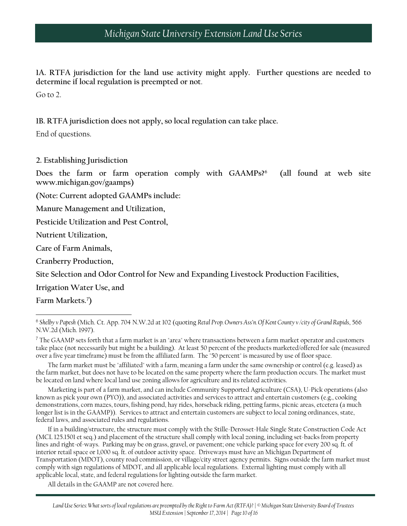**1A. RTFA jurisdiction for the land use activity might apply. Further questions are needed to determine if local regulation is preempted or not**.

Go to 2.

**1B. RTFA jurisdiction does not apply, so local regulation can take place.** 

End of questions.

#### **2. Establishing Jurisdiction**

**Does the farm or farm operation comply with GAAMPs?[6](#page-9-0) (all found at web site www.michigan.gov/gaamps)**

**(Note: Current adopted GAAMPs include:**

**Manure Management and Utilization,** 

**Pesticide Utilization and Pest Control,** 

**Nutrient Utilization,** 

**Care of Farm Animals,** 

**Cranberry Production,**

**Site Selection and Odor Control for New and Expanding Livestock Production Facilities,** 

**Irrigation Water Use, and** 

**Farm Markets.[7](#page-9-1) )**

 $\overline{\phantom{a}}$ 

<span id="page-9-1"></span><sup>7</sup> The GAAMP sets forth that a farm market is an "area" where transactions between a farm market operator and customers take place (not necessarily but might be a building). At least 50 percent of the products marketed/offered for sale (measured over a five year timeframe) must be from the affiliated farm. The "50 percent" is measured by use of floor space.

The farm market must be "affiliated" with a farm, meaning a farm under the same ownership or control (e.g. leased) as the farm market, but does not have to be located on the same property where the farm production occurs. The market must be located on land where local land use zoning allows for agriculture and its related activities.

Marketing is part of a farm market, and can include Community Supported Agriculture (CSA), U-Pick operations (also known as pick your own (PYO)), and associated activities and services to attract and entertain customers (e.g., cooking demonstrations, corn mazes, tours, fishing pond, hay rides, horseback riding, petting farms, picnic areas, etcetera (a much longer list is in the GAAMP)). Services to attract and entertain customers are subject to local zoning ordinances, state, federal laws, and associated rules and regulations.

If in a building/structure, the structure must comply with the Stille-Derosset-Hale Single State Construction Code Act (MCL 125.1501 et seq.) and placement of the structure shall comply with local zoning, including set-backs from property lines and right-of-ways. Parking may be on grass, gravel, or pavement; one vehicle parking space for every 200 sq. ft. of interior retail space or 1,000 sq. ft. of outdoor activity space. Driveways must have an Michigan Department of Transportation (MDOT), county road commission, or village/city street agency permits. Signs outside the farm market must comply with sign regulations of MDOT, and all applicable local regulations. External lighting must comply with all applicable local, state, and federal regulations for lighting outside the farm market.

All details in the GAAMP are not covered here.

<span id="page-9-0"></span><sup>6</sup> *Shelby v Papesh* (Mich. Ct. App. 704 N.W.2d at 102 (quoting *Retal Prop. Owners Ass'n. Of Kent County v /city of Grand Rapids*, 566 N.W.2d (Mich. 1997).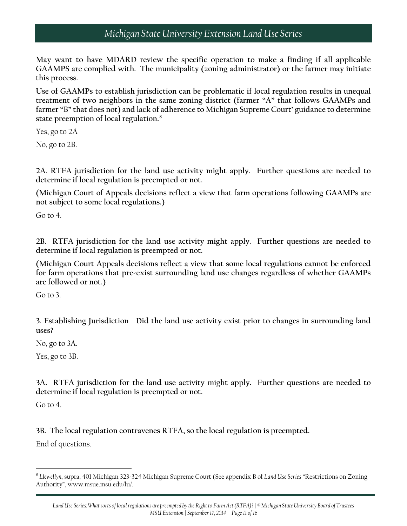**May want to have MDARD review the specific operation to make a finding if all applicable GAAMPS are complied with. The municipality (zoning administrator) or the farmer may initiate this process.**

**Use of GAAMPs to establish jurisdiction can be problematic if local regulation results in unequal treatment of two neighbors in the same zoning district (farmer "A" that follows GAAMPs and farmer "B" that does not) and lack of adherence to Michigan Supreme Court' guidance to determine state preemption of local regulation.[8](#page-10-0)**

Yes, go to 2A

No, go to 2B.

**2A. RTFA jurisdiction for the land use activity might apply. Further questions are needed to determine if local regulation is preempted or not.**

**(Michigan Court of Appeals decisions reflect a view that farm operations following GAAMPs are not subject to some local regulations.)**

Go to 4.

**2B. RTFA jurisdiction for the land use activity might apply. Further questions are needed to determine if local regulation is preempted or not.**

**(Michigan Court Appeals decisions reflect a view that some local regulations cannot be enforced for farm operations that pre-exist surrounding land use changes regardless of whether GAAMPs are followed or not.)**

Go to 3

**3. Establishing Jurisdiction Did the land use activity exist prior to changes in surrounding land uses?**

No, go to 3A.

Yes, go to 3B.

**3A. RTFA jurisdiction for the land use activity might apply. Further questions are needed to determine if local regulation is preempted or not.**

Go to 4.

l

**3B. The local regulation contravenes RTFA, so the local regulation is preempted.**

End of questions.

<span id="page-10-0"></span><sup>8</sup> *Llewellyn*, supra, 401 Michigan 323-324 Michigan Supreme Court (See appendix B of *Land Use Series* "Restrictions on Zoning Authority", www.msue.msu.edu/lu/.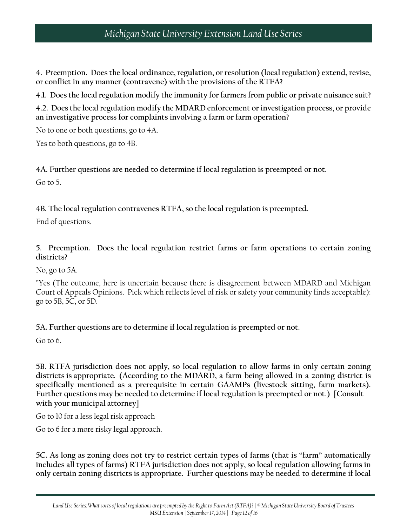**4. Preemption. Does the local ordinance, regulation, or resolution (local regulation) extend, revise, or conflict in any manner (contravene) with the provisions of the RTFA?**

**4.1. Does the local regulation modify the immunity for farmers from public or private nuisance suit?**

**4.2. Does the local regulation modify the MDARD enforcement or investigation process, or provide an investigative process for complaints involving a farm or farm operation?**

No to one or both questions, go to 4A.

Yes to both questions, go to 4B.

#### **4A. Further questions are needed to determine if local regulation is preempted or not.**

Go to 5.

**4B. The local regulation contravenes RTFA, so the local regulation is preempted.**

End of questions.

**5. Preemption. Does the local regulation restrict farms or farm operations to certain zoning districts?**

No, go to 5A.

"Yes (The outcome, here is uncertain because there is disagreement between MDARD and Michigan Court of Appeals Opinions. Pick which reflects level of risk or safety your community finds acceptable): go to 5B, 5C, or 5D.

**5A. Further questions are to determine if local regulation is preempted or not.**

Go to 6.

**5B. RTFA jurisdiction does not apply, so local regulation to allow farms in only certain zoning districts is appropriate. (According to the MDARD, a farm being allowed in a zoning district is specifically mentioned as a prerequisite in certain GAAMPs (livestock sitting, farm markets). Further questions may be needed to determine if local regulation is preempted or not.) [Consult with your municipal attorney]**

Go to 10 for a less legal risk approach

Go to 6 for a more risky legal approach.

**5C. As long as zoning does not try to restrict certain types of farms (that is "farm" automatically includes all types of farms) RTFA jurisdiction does not apply, so local regulation allowing farms in only certain zoning districts is appropriate. Further questions may be needed to determine if local**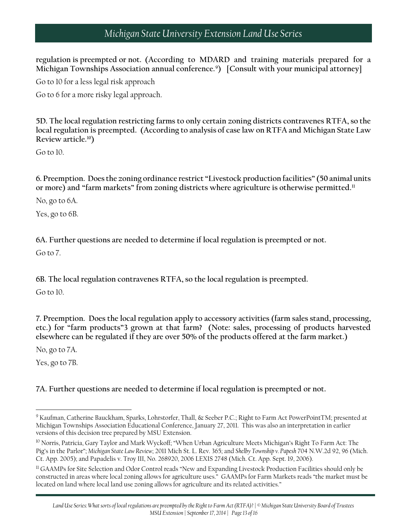**regulation is preempted or not. (According to MDARD and training materials prepared for a Michigan Townships Association annual conference.[9](#page-12-0) ) [Consult with your municipal attorney]**

Go to 10 for a less legal risk approach

Go to 6 for a more risky legal approach.

**5D. The local regulation restricting farms to only certain zoning districts contravenes RTFA, so the local regulation is preempted. (According to analysis of case law on RTFA and Michigan State Law Review article.[10](#page-12-1))**

Go to 10.

**6. Preemption. Does the zoning ordinance restrict "Livestock production facilities" (50 animal units or more) and "farm markets" from zoning districts where agriculture is otherwise permitted[.11](#page-12-2)**

No, go to 6A.

Yes, go to 6B.

**6A. Further questions are needed to determine if local regulation is preempted or not.**

Go to 7.

**6B. The local regulation contravenes RTFA, so the local regulation is preempted.**

Go to 10.

**7. Preemption. Does the local regulation apply to accessory activities (farm sales stand, processing, etc.) for "farm products"3 grown at that farm? (Note: sales, processing of products harvested elsewhere can be regulated if they are over 50% of the products offered at the farm market.)**

No, go to 7A.

Yes, go to 7B.

 $\overline{\phantom{a}}$ 

**7A. Further questions are needed to determine if local regulation is preempted or not.**

<span id="page-12-0"></span><sup>&</sup>lt;sup>9</sup> Kaufman, Catherine Bauckham, Sparks, Lohrstorfer, Thall, & Seeber P.C.; Right to Farm Act PowerPointTM; presented at Michigan Townships Association Educational Conference, January 27, 2011. This was also an interpretation in earlier versions of this decision tree prepared by MSU Extension.

<span id="page-12-1"></span><sup>&</sup>lt;sup>10</sup> Norris, Patricia, Gary Taylor and Mark Wyckoff; "When Urban Agriculture Meets Michigan's Right To Farm Act: The Pig's in the Parlor"; *Michigan State Law Review*; 2011 Mich St. L. Rev. 365; and *Shelby Township v. Papesh* 704 N.W.2d 92, 96 (Mich. Ct. App. 2005); and Papadelis v. Troy III, No. 268920, 2006 LEXIS 2748 (Mich. Ct. App. Sept. 19, 2006).

<span id="page-12-2"></span><sup>&</sup>lt;sup>11</sup> GAAMPs for Site Selection and Odor Control reads "New and Expanding Livestock Production Facilities should only be constructed in areas where local zoning allows for agriculture uses." GAAMPs for Farm Markets reads "the market must be located on land where local land use zoning allows for agriculture and its related activities."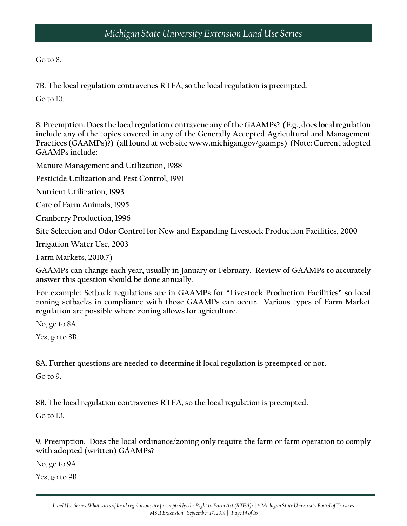Go to 8.

**7B. The local regulation contravenes RTFA, so the local regulation is preempted.**

Go to 10.

**8. Preemption. Does the local regulation contravene any of the GAAMPs? (E.g., does local regulation include any of the topics covered in any of the Generally Accepted Agricultural and Management Practices (GAAMPs)?) (all found at web site www.michigan.gov/gaamps) (Note: Current adopted GAAMPs include:**

**Manure Management and Utilization, 1988**

**Pesticide Utilization and Pest Control, 1991**

**Nutrient Utilization, 1993**

**Care of Farm Animals, 1995**

**Cranberry Production, 1996**

**Site Selection and Odor Control for New and Expanding Livestock Production Facilities, 2000**

**Irrigation Water Use, 2003** 

**Farm Markets, 2010.7)**

**GAAMPs can change each year, usually in January or February. Review of GAAMPs to accurately answer this question should be done annually.**

**For example: Setback regulations are in GAAMPs for "Livestock Production Facilities" so local zoning setbacks in compliance with those GAAMPs can occur. Various types of Farm Market regulation are possible where zoning allows for agriculture.**

No, go to 8A.

Yes, go to 8B.

**8A. Further questions are needed to determine if local regulation is preempted or not.**

Go to 9.

**8B. The local regulation contravenes RTFA, so the local regulation is preempted.**

Go to 10.

**9. Preemption. Does the local ordinance/zoning only require the farm or farm operation to comply with adopted (written) GAAMPs?**

No, go to 9A.

Yes, go to 9B.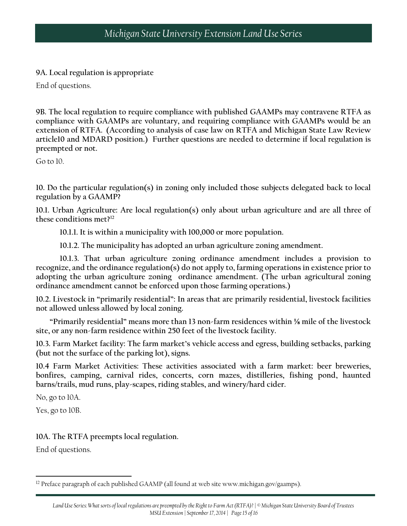**9A. Local regulation is appropriate**

End of questions.

**9B. The local regulation to require compliance with published GAAMPs may contravene RTFA as compliance with GAAMPs are voluntary, and requiring compliance with GAAMPs would be an extension of RTFA. (According to analysis of case law on RTFA and Michigan State Law Review article10 and MDARD position.) Further questions are needed to determine if local regulation is preempted or not.**

Go to 10.

**10. Do the particular regulation(s) in zoning only included those subjects delegated back to local regulation by a GAAMP?**

**10.1. Urban Agriculture: Are local regulation(s) only about urban agriculture and are all three of these conditions met?[12](#page-14-0)**

**10.1.1. It is within a municipality with 100,000 or more population.**

**10.1.2. The municipality has adopted an urban agriculture zoning amendment.**

**10.1.3. That urban agriculture zoning ordinance amendment includes a provision to recognize, and the ordinance regulation(s) do not apply to, farming operations in existence prior to adopting the urban agriculture zoning ordinance amendment. (The urban agricultural zoning ordinance amendment cannot be enforced upon those farming operations.)**

**10.2. Livestock in "primarily residential": In areas that are primarily residential, livestock facilities not allowed unless allowed by local zoning.**

**"Primarily residential" means more than 13 non-farm residences within ⅛ mile of the livestock site, or any non-farm residence within 250 feet of the livestock facility.**

**10.3. Farm Market facility: The farm market's vehicle access and egress, building setbacks, parking (but not the surface of the parking lot), signs.**

**10.4 Farm Market Activities: These activities associated with a farm market: beer breweries, bonfires, camping, carnival rides, concerts, corn mazes, distilleries, fishing pond, haunted barns/trails, mud runs, play-scapes, riding stables, and winery/hard cider.**

No, go to 10A.

Yes, go to 10B.

#### **10A. The RTFA preempts local regulation.**

End of questions.

 $\overline{\phantom{a}}$ 

<span id="page-14-0"></span><sup>&</sup>lt;sup>12</sup> Preface paragraph of each published GAAMP (all found at web site www.michigan.gov/gaamps).